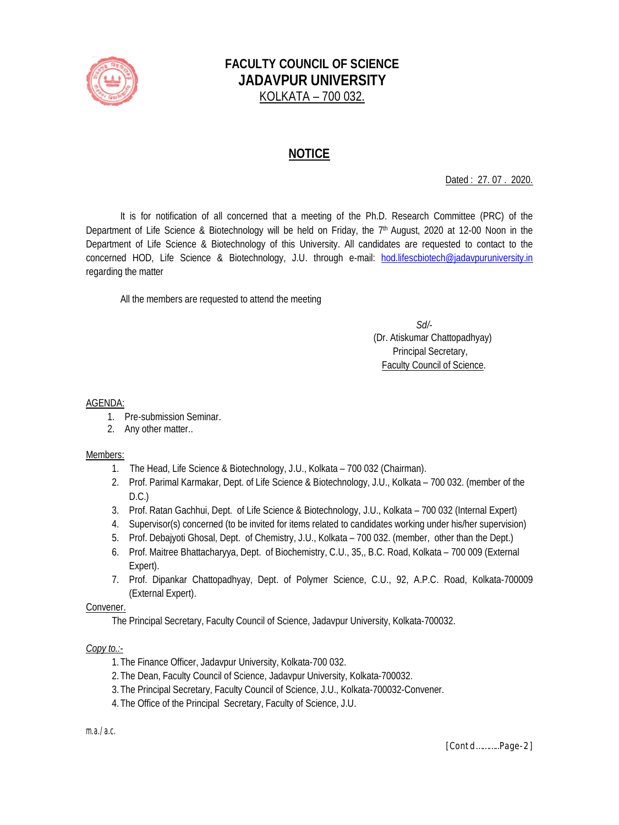

# **FACULTY COUNCIL OF SCIENCE JADAVPUR UNIVERSITY** KOLKATA – 700 032.

## **NOTICE**

Dated : 27. 07 . 2020.

It is for notification of all concerned that a meeting of the Ph.D. Research Committee (PRC) of the Department of Life Science & Biotechnology will be held on Friday, the 7<sup>th</sup> August, 2020 at 12-00 Noon in the Department of Life Science & Biotechnology of this University. All candidates are requested to contact to the concerned HOD, Life Science & Biotechnology, J.U. through e-mail: hod.lifescbiotech@jadavpuruniversity.in regarding the matter

All the members are requested to attend the meeting

 *Sd/-* (Dr. Atiskumar Chattopadhyay) Principal Secretary, Faculty Council of Science.

#### AGENDA:

- 1. Pre-submission Seminar.
- 2. Any other matter..

#### Members:

- 1. The Head, Life Science & Biotechnology, J.U., Kolkata 700 032 (Chairman).
- 2. Prof. Parimal Karmakar, Dept. of Life Science & Biotechnology, J.U., Kolkata 700 032. (member of the D.C.)
- 3. Prof. Ratan Gachhui, Dept. of Life Science & Biotechnology, J.U., Kolkata 700 032 (Internal Expert)
- 4. Supervisor(s) concerned (to be invited for items related to candidates working under his/her supervision)
- 5. Prof. Debajyoti Ghosal, Dept. of Chemistry, J.U., Kolkata 700 032. (member, other than the Dept.)
- 6. Prof. Maitree Bhattacharyya, Dept. of Biochemistry, C.U., 35,, B.C. Road, Kolkata 700 009 (External Expert).
- 7. Prof. Dipankar Chattopadhyay, Dept. of Polymer Science, C.U., 92, A.P.C. Road, Kolkata-700009 (External Expert).

#### Convener.

The Principal Secretary, Faculty Council of Science, Jadavpur University, Kolkata-700032.

#### *Copy to.:-*

- 1.The Finance Officer, Jadavpur University, Kolkata-700 032.
- 2.The Dean, Faculty Council of Science, Jadavpur University, Kolkata-700032.
- 3.The Principal Secretary, Faculty Council of Science, J.U., Kolkata-700032-Convener.
- 4.The Office of the Principal Secretary, Faculty of Science, J.U.

*m.a./a.c.*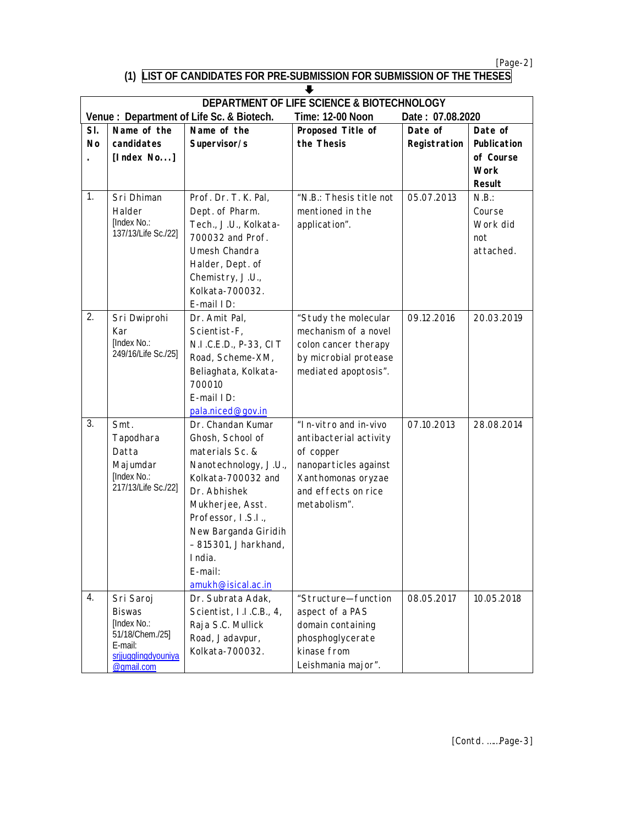*[Page-2]*

### **(1) LIST OF CANDIDATES FOR PRE-SUBMISSION FOR SUBMISSION OF THE THESES**

| <b>DEPARTMENT OF LIFE SCIENCE &amp; BIOTECHNOLOGY</b> |                                |                                           |                         |                  |               |  |  |  |  |  |
|-------------------------------------------------------|--------------------------------|-------------------------------------------|-------------------------|------------------|---------------|--|--|--|--|--|
|                                                       |                                | Venue : Department of Life Sc. & Biotech. | <b>Time: 12-00 Noon</b> | Date: 07.08.2020 |               |  |  |  |  |  |
| SI.                                                   | Name of the                    | Name of the                               | Proposed Title of       | Date of          | Date of       |  |  |  |  |  |
| <b>No</b>                                             | candidates                     | Supervisor/s                              | the Thesis              | Registration     | Publication   |  |  |  |  |  |
|                                                       | [Index $No$ ]                  |                                           |                         |                  | of Course     |  |  |  |  |  |
|                                                       |                                |                                           |                         |                  | <b>Work</b>   |  |  |  |  |  |
|                                                       |                                |                                           |                         |                  | <b>Result</b> |  |  |  |  |  |
| 1.                                                    | Sri Dhiman                     | Prof. Dr. T. K. Pal,                      | "N.B.: Thesis title not | 05.07.2013       | N.B.:         |  |  |  |  |  |
|                                                       | Halder                         | Dept. of Pharm.                           | mentioned in the        |                  | Course        |  |  |  |  |  |
|                                                       | [Index No.:                    | Tech., J.U., Kolkata-                     | application".           |                  | Work did      |  |  |  |  |  |
|                                                       | 137/13/Life Sc./22]            | 700032 and Prof.                          |                         |                  | not           |  |  |  |  |  |
|                                                       |                                | Umesh Chandra                             |                         |                  | attached.     |  |  |  |  |  |
|                                                       |                                | Halder, Dept. of                          |                         |                  |               |  |  |  |  |  |
|                                                       |                                | Chemistry, J.U.,                          |                         |                  |               |  |  |  |  |  |
|                                                       |                                | Kolkata-700032.                           |                         |                  |               |  |  |  |  |  |
|                                                       |                                | E-mail ID:                                |                         |                  |               |  |  |  |  |  |
| 2.                                                    | Sri Dwiprohi                   | Dr. Amit Pal,                             | "Study the molecular    | 09.12.2016       | 20.03.2019    |  |  |  |  |  |
|                                                       | Kar                            | Scientist-F,                              | mechanism of a novel    |                  |               |  |  |  |  |  |
|                                                       | [Index No.:                    | N.I.C.E.D., P-33, CIT                     | colon cancer therapy    |                  |               |  |  |  |  |  |
|                                                       | 249/16/Life Sc./25]            | Road, Scheme-XM,                          | by microbial protease   |                  |               |  |  |  |  |  |
|                                                       |                                | Beliaghata, Kolkata-                      | mediated apoptosis".    |                  |               |  |  |  |  |  |
|                                                       |                                | 700010                                    |                         |                  |               |  |  |  |  |  |
|                                                       |                                | E-mail ID:                                |                         |                  |               |  |  |  |  |  |
|                                                       |                                | pala.niced@gov.in                         |                         |                  |               |  |  |  |  |  |
| 3.                                                    | Smt.                           | Dr. Chandan Kumar                         | "In-vitro and in-vivo   | 07.10.2013       | 28.08.2014    |  |  |  |  |  |
|                                                       | Tapodhara                      | Ghosh, School of                          | antibacterial activity  |                  |               |  |  |  |  |  |
|                                                       | Datta                          | materials Sc. &                           | of copper               |                  |               |  |  |  |  |  |
|                                                       | Majumdar                       | Nanotechnology, J.U.,                     | nanoparticles against   |                  |               |  |  |  |  |  |
|                                                       | [Index No.:                    | Kolkata-700032 and                        | Xanthomonas oryzae      |                  |               |  |  |  |  |  |
|                                                       | 217/13/Life Sc./22]            | Dr. Abhishek                              | and effects on rice     |                  |               |  |  |  |  |  |
|                                                       |                                | Mukherjee, Asst.                          | metabolism".            |                  |               |  |  |  |  |  |
|                                                       |                                | Professor, I.S.I.,                        |                         |                  |               |  |  |  |  |  |
|                                                       |                                | New Barganda Giridih                      |                         |                  |               |  |  |  |  |  |
|                                                       |                                | - 815301, Jharkhand,                      |                         |                  |               |  |  |  |  |  |
|                                                       |                                | India.                                    |                         |                  |               |  |  |  |  |  |
|                                                       |                                | E-mail:                                   |                         |                  |               |  |  |  |  |  |
|                                                       |                                | amukh@isical.ac.in                        |                         |                  |               |  |  |  |  |  |
| 4.                                                    | Sri Saroj                      | Dr. Subrata Adak,                         | "Structure-function     | 08.05.2017       | 10.05.2018    |  |  |  |  |  |
|                                                       | <b>Biswas</b>                  | Scientist, I.I.C.B., 4,                   | aspect of a PAS         |                  |               |  |  |  |  |  |
|                                                       | [Index No.:<br>51/18/Chem./25] | Raja S.C. Mullick                         | domain containing       |                  |               |  |  |  |  |  |
|                                                       | E-mail:                        | Road, Jadavpur,                           | phosphoglycerate        |                  |               |  |  |  |  |  |
|                                                       | srjjugglingdyouniya            | Kolkata-700032.                           | kinase from             |                  |               |  |  |  |  |  |
|                                                       | @gmail.com                     |                                           | Leishmania major".      |                  |               |  |  |  |  |  |